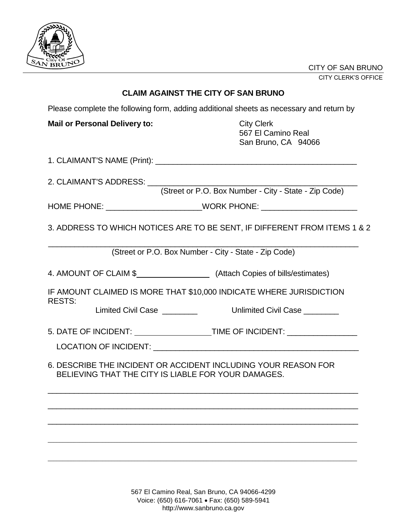

## **CLAIM AGAINST THE CITY OF SAN BRUNO**

Please complete the following form, adding additional sheets as necessary and return by

**Mail or Personal Delivery to:** City Clerk

 567 El Camino Real San Bruno, CA 94066

1. CLAIMANT'S NAME (Print): \_\_\_\_\_\_\_\_\_\_\_\_\_\_\_\_\_\_\_\_\_\_\_\_\_\_\_\_\_\_\_\_\_\_\_\_\_\_\_\_\_\_\_\_\_\_

2. CLAIMANT'S ADDRESS: \_\_\_\_\_\_\_\_\_\_\_\_\_\_\_\_\_\_\_\_\_\_\_\_\_\_\_\_\_\_\_\_\_\_\_\_\_\_\_\_\_\_\_\_\_\_\_\_

(Street or P.O. Box Number - City - State - Zip Code)

HOME PHONE: \_\_\_\_\_\_\_\_\_\_\_\_\_\_\_\_\_\_\_\_\_\_\_\_\_\_\_\_WORK PHONE: \_\_\_\_\_\_\_\_\_\_\_\_\_\_\_\_\_\_\_\_\_\_\_\_\_\_\_\_

3. ADDRESS TO WHICH NOTICES ARE TO BE SENT, IF DIFFERENT FROM ITEMS 1 & 2

 $\_$  , and the set of the set of the set of the set of the set of the set of the set of the set of the set of the set of the set of the set of the set of the set of the set of the set of the set of the set of the set of th (Street or P.O. Box Number - City - State - Zip Code)

4. AMOUNT OF CLAIM \$ (Attach Copies of bills/estimates)

IF AMOUNT CLAIMED IS MORE THAT \$10,000 INDICATE WHERE JURISDICTION RESTS:

Limited Civil Case **Limited Civil Case Limited Civil Case** 

5. DATE OF INCIDENT: TIME OF INCIDENT: \_\_\_\_\_\_\_\_\_\_\_\_\_\_\_\_

LOCATION OF INCIDENT:

6. DESCRIBE THE INCIDENT OR ACCIDENT INCLUDING YOUR REASON FOR BELIEVING THAT THE CITY IS LIABLE FOR YOUR DAMAGES.

\_\_\_\_\_\_\_\_\_\_\_\_\_\_\_\_\_\_\_\_\_\_\_\_\_\_\_\_\_\_\_\_\_\_\_\_\_\_\_\_\_\_\_\_\_\_\_\_\_\_\_\_\_\_\_\_\_\_\_\_\_\_\_\_\_\_\_\_\_\_\_

 $\_$  , and the set of the set of the set of the set of the set of the set of the set of the set of the set of the set of the set of the set of the set of the set of the set of the set of the set of the set of the set of th

\_\_\_\_\_\_\_\_\_\_\_\_\_\_\_\_\_\_\_\_\_\_\_\_\_\_\_\_\_\_\_\_\_\_\_\_\_\_\_\_\_\_\_\_\_\_\_\_\_\_\_\_\_\_\_\_\_\_\_\_\_\_\_\_\_\_\_\_\_\_\_

\_\_\_\_\_\_\_\_\_\_\_\_\_\_\_\_\_\_\_\_\_\_\_\_\_\_\_\_\_\_\_\_\_\_\_\_\_\_\_\_\_\_\_\_\_\_\_\_\_\_\_\_\_\_\_\_\_\_\_\_\_\_\_\_\_\_\_\_\_\_\_\_\_\_\_\_\_\_\_\_\_\_\_\_\_\_\_\_\_\_\_\_\_\_\_\_\_\_\_\_\_\_\_\_\_\_\_

\_\_\_\_\_\_\_\_\_\_\_\_\_\_\_\_\_\_\_\_\_\_\_\_\_\_\_\_\_\_\_\_\_\_\_\_\_\_\_\_\_\_\_\_\_\_\_\_\_\_\_\_\_\_\_\_\_\_\_\_\_\_\_\_\_\_\_\_\_\_\_\_\_\_\_\_\_\_\_\_\_\_\_\_\_\_\_\_\_\_\_\_\_\_\_\_\_\_\_\_\_\_\_\_\_\_\_